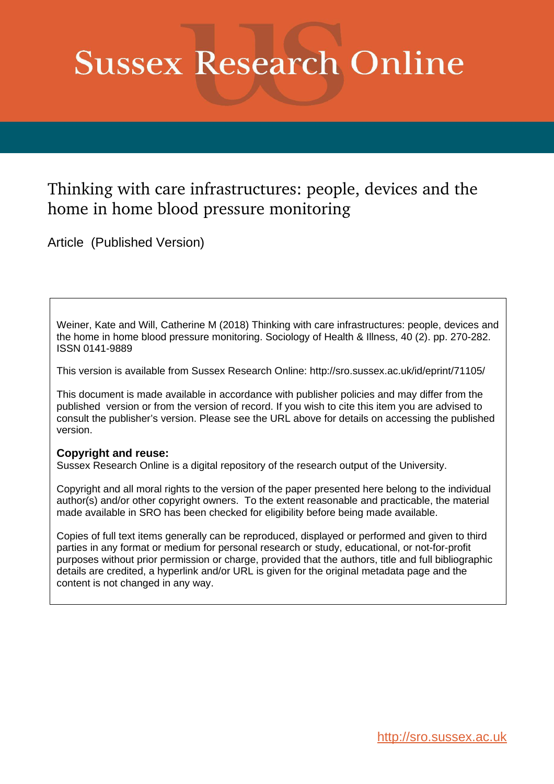# **Sussex Research Online**

## Thinking with care infrastructures: people, devices and the home in home blood pressure monitoring

Article (Published Version)

Weiner, Kate and Will, Catherine M (2018) Thinking with care infrastructures: people, devices and the home in home blood pressure monitoring. Sociology of Health & Illness, 40 (2). pp. 270-282. ISSN 0141-9889

This version is available from Sussex Research Online: http://sro.sussex.ac.uk/id/eprint/71105/

This document is made available in accordance with publisher policies and may differ from the published version or from the version of record. If you wish to cite this item you are advised to consult the publisher's version. Please see the URL above for details on accessing the published version.

#### **Copyright and reuse:**

Sussex Research Online is a digital repository of the research output of the University.

Copyright and all moral rights to the version of the paper presented here belong to the individual author(s) and/or other copyright owners. To the extent reasonable and practicable, the material made available in SRO has been checked for eligibility before being made available.

Copies of full text items generally can be reproduced, displayed or performed and given to third parties in any format or medium for personal research or study, educational, or not-for-profit purposes without prior permission or charge, provided that the authors, title and full bibliographic details are credited, a hyperlink and/or URL is given for the original metadata page and the content is not changed in any way.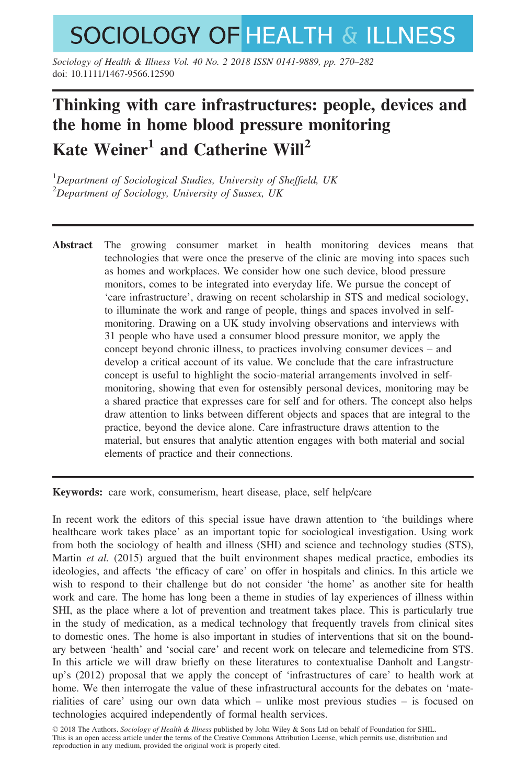# **SOCIOLOGY OF HEALTH & ILLNESS**

Sociology of Health & Illness Vol. 40 No. 2 2018 ISSN 0141-9889, pp. 270–282 doi: 10.1111/1467-9566.12590

### Thinking with care infrastructures: people, devices and the home in home blood pressure monitoring Kate Weiner<sup>1</sup> and Catherine Will<sup>2</sup>

<sup>1</sup>Department of Sociological Studies, University of Sheffield, UK<br><sup>2</sup>Department of Sociology, University of Sussex, UK  ${}^{2}$ Department of Sociology, University of Sussex, UK

Abstract The growing consumer market in health monitoring devices means that technologies that were once the preserve of the clinic are moving into spaces such as homes and workplaces. We consider how one such device, blood pressure monitors, comes to be integrated into everyday life. We pursue the concept of 'care infrastructure', drawing on recent scholarship in STS and medical sociology, to illuminate the work and range of people, things and spaces involved in selfmonitoring. Drawing on a UK study involving observations and interviews with 31 people who have used a consumer blood pressure monitor, we apply the concept beyond chronic illness, to practices involving consumer devices – and develop a critical account of its value. We conclude that the care infrastructure concept is useful to highlight the socio-material arrangements involved in selfmonitoring, showing that even for ostensibly personal devices, monitoring may be a shared practice that expresses care for self and for others. The concept also helps draw attention to links between different objects and spaces that are integral to the practice, beyond the device alone. Care infrastructure draws attention to the material, but ensures that analytic attention engages with both material and social elements of practice and their connections.

Keywords: care work, consumerism, heart disease, place, self help/care

In recent work the editors of this special issue have drawn attention to 'the buildings where healthcare work takes place' as an important topic for sociological investigation. Using work from both the sociology of health and illness (SHI) and science and technology studies (STS), Martin *et al.* (2015) argued that the built environment shapes medical practice, embodies its ideologies, and affects 'the efficacy of care' on offer in hospitals and clinics. In this article we wish to respond to their challenge but do not consider 'the home' as another site for health work and care. The home has long been a theme in studies of lay experiences of illness within SHI, as the place where a lot of prevention and treatment takes place. This is particularly true in the study of medication, as a medical technology that frequently travels from clinical sites to domestic ones. The home is also important in studies of interventions that sit on the boundary between 'health' and 'social care' and recent work on telecare and telemedicine from STS. In this article we will draw briefly on these literatures to contextualise Danholt and Langstrup's (2012) proposal that we apply the concept of 'infrastructures of care' to health work at home. We then interrogate the value of these infrastructural accounts for the debates on 'materialities of care' using our own data which – unlike most previous studies – is focused on technologies acquired independently of formal health services.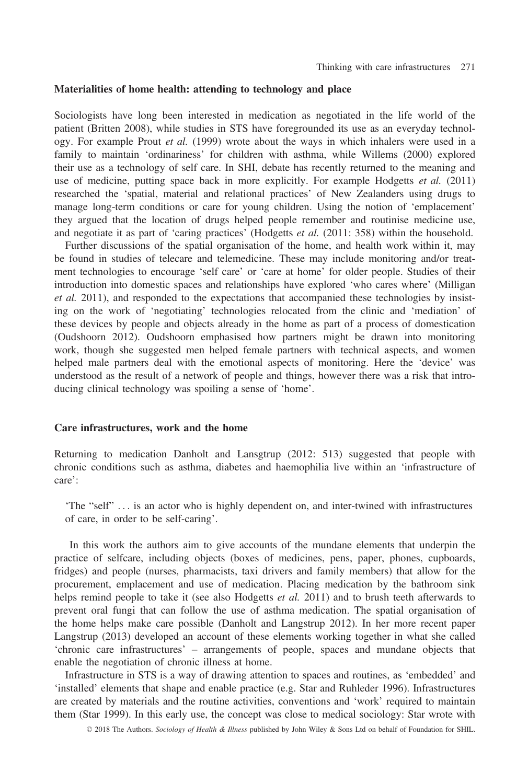#### Materialities of home health: attending to technology and place

Sociologists have long been interested in medication as negotiated in the life world of the patient (Britten 2008), while studies in STS have foregrounded its use as an everyday technology. For example Prout et al. (1999) wrote about the ways in which inhalers were used in a family to maintain 'ordinariness' for children with asthma, while Willems (2000) explored their use as a technology of self care. In SHI, debate has recently returned to the meaning and use of medicine, putting space back in more explicitly. For example Hodgetts *et al.* (2011) researched the 'spatial, material and relational practices' of New Zealanders using drugs to manage long-term conditions or care for young children. Using the notion of 'emplacement' they argued that the location of drugs helped people remember and routinise medicine use, and negotiate it as part of 'caring practices' (Hodgetts *et al.* (2011: 358) within the household.

Further discussions of the spatial organisation of the home, and health work within it, may be found in studies of telecare and telemedicine. These may include monitoring and/or treatment technologies to encourage 'self care' or 'care at home' for older people. Studies of their introduction into domestic spaces and relationships have explored 'who cares where' (Milligan et al. 2011), and responded to the expectations that accompanied these technologies by insisting on the work of 'negotiating' technologies relocated from the clinic and 'mediation' of these devices by people and objects already in the home as part of a process of domestication (Oudshoorn 2012). Oudshoorn emphasised how partners might be drawn into monitoring work, though she suggested men helped female partners with technical aspects, and women helped male partners deal with the emotional aspects of monitoring. Here the 'device' was understood as the result of a network of people and things, however there was a risk that introducing clinical technology was spoiling a sense of 'home'.

#### Care infrastructures, work and the home

Returning to medication Danholt and Lansgtrup (2012: 513) suggested that people with chronic conditions such as asthma, diabetes and haemophilia live within an 'infrastructure of care':

'The "self" ... is an actor who is highly dependent on, and inter-twined with infrastructures of care, in order to be self-caring'.

In this work the authors aim to give accounts of the mundane elements that underpin the practice of selfcare, including objects (boxes of medicines, pens, paper, phones, cupboards, fridges) and people (nurses, pharmacists, taxi drivers and family members) that allow for the procurement, emplacement and use of medication. Placing medication by the bathroom sink helps remind people to take it (see also Hodgetts *et al.* 2011) and to brush teeth afterwards to prevent oral fungi that can follow the use of asthma medication. The spatial organisation of the home helps make care possible (Danholt and Langstrup 2012). In her more recent paper Langstrup (2013) developed an account of these elements working together in what she called 'chronic care infrastructures' – arrangements of people, spaces and mundane objects that enable the negotiation of chronic illness at home.

Infrastructure in STS is a way of drawing attention to spaces and routines, as 'embedded' and 'installed' elements that shape and enable practice (e.g. Star and Ruhleder 1996). Infrastructures are created by materials and the routine activities, conventions and 'work' required to maintain them (Star 1999). In this early use, the concept was close to medical sociology: Star wrote with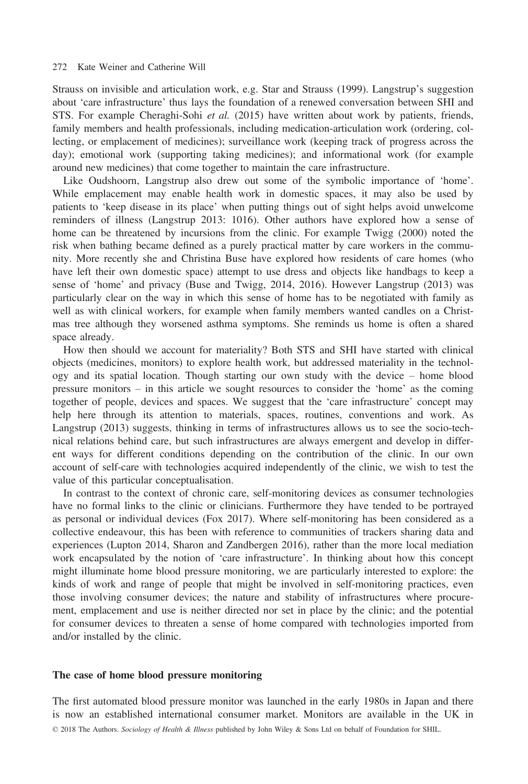Strauss on invisible and articulation work, e.g. Star and Strauss (1999). Langstrup's suggestion about 'care infrastructure' thus lays the foundation of a renewed conversation between SHI and STS. For example Cheraghi-Sohi et al. (2015) have written about work by patients, friends, family members and health professionals, including medication-articulation work (ordering, collecting, or emplacement of medicines); surveillance work (keeping track of progress across the day); emotional work (supporting taking medicines); and informational work (for example around new medicines) that come together to maintain the care infrastructure.

Like Oudshoorn, Langstrup also drew out some of the symbolic importance of 'home'. While emplacement may enable health work in domestic spaces, it may also be used by patients to 'keep disease in its place' when putting things out of sight helps avoid unwelcome reminders of illness (Langstrup 2013: 1016). Other authors have explored how a sense of home can be threatened by incursions from the clinic. For example Twigg (2000) noted the risk when bathing became defined as a purely practical matter by care workers in the community. More recently she and Christina Buse have explored how residents of care homes (who have left their own domestic space) attempt to use dress and objects like handbags to keep a sense of 'home' and privacy (Buse and Twigg, 2014, 2016). However Langstrup (2013) was particularly clear on the way in which this sense of home has to be negotiated with family as well as with clinical workers, for example when family members wanted candles on a Christmas tree although they worsened asthma symptoms. She reminds us home is often a shared space already.

How then should we account for materiality? Both STS and SHI have started with clinical objects (medicines, monitors) to explore health work, but addressed materiality in the technology and its spatial location. Though starting our own study with the device – home blood pressure monitors – in this article we sought resources to consider the 'home' as the coming together of people, devices and spaces. We suggest that the 'care infrastructure' concept may help here through its attention to materials, spaces, routines, conventions and work. As Langstrup (2013) suggests, thinking in terms of infrastructures allows us to see the socio-technical relations behind care, but such infrastructures are always emergent and develop in different ways for different conditions depending on the contribution of the clinic. In our own account of self-care with technologies acquired independently of the clinic, we wish to test the value of this particular conceptualisation.

In contrast to the context of chronic care, self-monitoring devices as consumer technologies have no formal links to the clinic or clinicians. Furthermore they have tended to be portrayed as personal or individual devices (Fox 2017). Where self-monitoring has been considered as a collective endeavour, this has been with reference to communities of trackers sharing data and experiences (Lupton 2014, Sharon and Zandbergen 2016), rather than the more local mediation work encapsulated by the notion of 'care infrastructure'. In thinking about how this concept might illuminate home blood pressure monitoring, we are particularly interested to explore: the kinds of work and range of people that might be involved in self-monitoring practices, even those involving consumer devices; the nature and stability of infrastructures where procurement, emplacement and use is neither directed nor set in place by the clinic; and the potential for consumer devices to threaten a sense of home compared with technologies imported from and/or installed by the clinic.

#### The case of home blood pressure monitoring

The first automated blood pressure monitor was launched in the early 1980s in Japan and there is now an established international consumer market. Monitors are available in the UK in © 2018 The Authors. Sociology of Health & Illness published by John Wiley & Sons Ltd on behalf of Foundation for SHIL.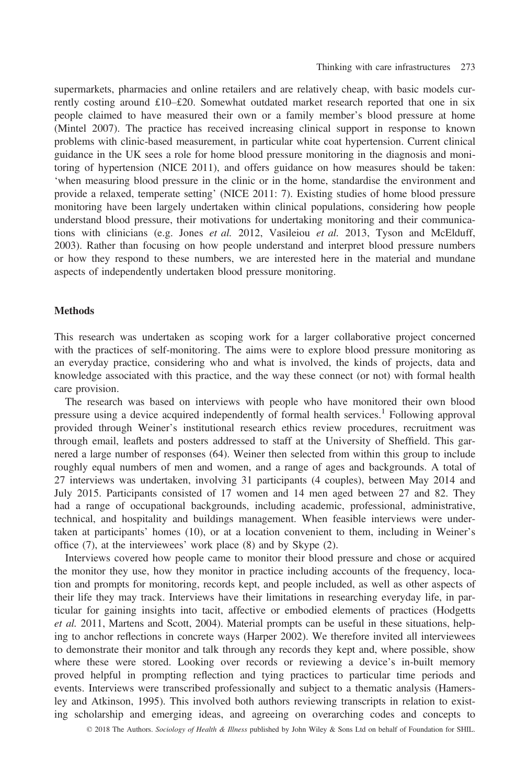supermarkets, pharmacies and online retailers and are relatively cheap, with basic models currently costing around £10–£20. Somewhat outdated market research reported that one in six people claimed to have measured their own or a family member's blood pressure at home (Mintel 2007). The practice has received increasing clinical support in response to known problems with clinic-based measurement, in particular white coat hypertension. Current clinical guidance in the UK sees a role for home blood pressure monitoring in the diagnosis and monitoring of hypertension (NICE 2011), and offers guidance on how measures should be taken: 'when measuring blood pressure in the clinic or in the home, standardise the environment and provide a relaxed, temperate setting' (NICE 2011: 7). Existing studies of home blood pressure monitoring have been largely undertaken within clinical populations, considering how people understand blood pressure, their motivations for undertaking monitoring and their communications with clinicians (e.g. Jones et al. 2012, Vasileiou et al. 2013, Tyson and McElduff, 2003). Rather than focusing on how people understand and interpret blood pressure numbers or how they respond to these numbers, we are interested here in the material and mundane aspects of independently undertaken blood pressure monitoring.

#### Methods

This research was undertaken as scoping work for a larger collaborative project concerned with the practices of self-monitoring. The aims were to explore blood pressure monitoring as an everyday practice, considering who and what is involved, the kinds of projects, data and knowledge associated with this practice, and the way these connect (or not) with formal health care provision.

The research was based on interviews with people who have monitored their own blood pressure using a device acquired independently of formal health services.<sup>1</sup> Following approval provided through Weiner's institutional research ethics review procedures, recruitment was through email, leaflets and posters addressed to staff at the University of Sheffield. This garnered a large number of responses (64). Weiner then selected from within this group to include roughly equal numbers of men and women, and a range of ages and backgrounds. A total of 27 interviews was undertaken, involving 31 participants (4 couples), between May 2014 and July 2015. Participants consisted of 17 women and 14 men aged between 27 and 82. They had a range of occupational backgrounds, including academic, professional, administrative, technical, and hospitality and buildings management. When feasible interviews were undertaken at participants' homes (10), or at a location convenient to them, including in Weiner's office (7), at the interviewees' work place (8) and by Skype (2).

Interviews covered how people came to monitor their blood pressure and chose or acquired the monitor they use, how they monitor in practice including accounts of the frequency, location and prompts for monitoring, records kept, and people included, as well as other aspects of their life they may track. Interviews have their limitations in researching everyday life, in particular for gaining insights into tacit, affective or embodied elements of practices (Hodgetts et al. 2011, Martens and Scott, 2004). Material prompts can be useful in these situations, helping to anchor reflections in concrete ways (Harper 2002). We therefore invited all interviewees to demonstrate their monitor and talk through any records they kept and, where possible, show where these were stored. Looking over records or reviewing a device's in-built memory proved helpful in prompting reflection and tying practices to particular time periods and events. Interviews were transcribed professionally and subject to a thematic analysis (Hamersley and Atkinson, 1995). This involved both authors reviewing transcripts in relation to existing scholarship and emerging ideas, and agreeing on overarching codes and concepts to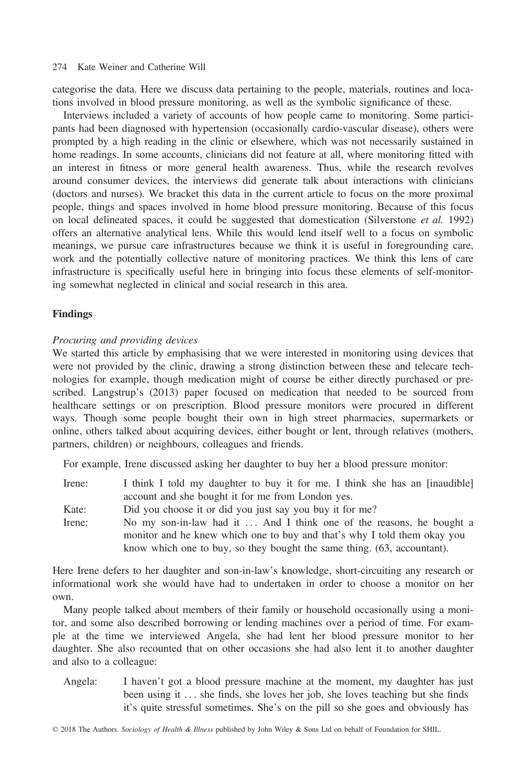categorise the data. Here we discuss data pertaining to the people, materials, routines and locations involved in blood pressure monitoring, as well as the symbolic significance of these.

Interviews included a variety of accounts of how people came to monitoring. Some participants had been diagnosed with hypertension (occasionally cardio-vascular disease), others were prompted by a high reading in the clinic or elsewhere, which was not necessarily sustained in home readings. In some accounts, clinicians did not feature at all, where monitoring fitted with an interest in fitness or more general health awareness. Thus, while the research revolves around consumer devices, the interviews did generate talk about interactions with clinicians (doctors and nurses). We bracket this data in the current article to focus on the more proximal people, things and spaces involved in home blood pressure monitoring. Because of this focus on local delineated spaces, it could be suggested that domestication (Silverstone et al. 1992) offers an alternative analytical lens. While this would lend itself well to a focus on symbolic meanings, we pursue care infrastructures because we think it is useful in foregrounding care, work and the potentially collective nature of monitoring practices. We think this lens of care infrastructure is specifically useful here in bringing into focus these elements of self-monitoring somewhat neglected in clinical and social research in this area.

#### Findings

#### Procuring and providing devices

We started this article by emphasising that we were interested in monitoring using devices that were not provided by the clinic, drawing a strong distinction between these and telecare technologies for example, though medication might of course be either directly purchased or prescribed. Langstrup's (2013) paper focused on medication that needed to be sourced from healthcare settings or on prescription. Blood pressure monitors were procured in different ways. Though some people bought their own in high street pharmacies, supermarkets or online, others talked about acquiring devices, either bought or lent, through relatives (mothers, partners, children) or neighbours, colleagues and friends.

For example, Irene discussed asking her daughter to buy her a blood pressure monitor:

Irene: I think I told my daughter to buy it for me. I think she has an [inaudible] account and she bought it for me from London yes. Kate: Did you choose it or did you just say you buy it for me? Irene: No my son-in-law had it ... And I think one of the reasons, he bought a monitor and he knew which one to buy and that's why I told them okay you know which one to buy, so they bought the same thing. (63, accountant).

Here Irene defers to her daughter and son-in-law's knowledge, short-circuiting any research or informational work she would have had to undertaken in order to choose a monitor on her own.

Many people talked about members of their family or household occasionally using a monitor, and some also described borrowing or lending machines over a period of time. For example at the time we interviewed Angela, she had lent her blood pressure monitor to her daughter. She also recounted that on other occasions she had also lent it to another daughter and also to a colleague:

Angela: I haven't got a blood pressure machine at the moment, my daughter has just been using it ... she finds, she loves her job, she loves teaching but she finds it's quite stressful sometimes. She's on the pill so she goes and obviously has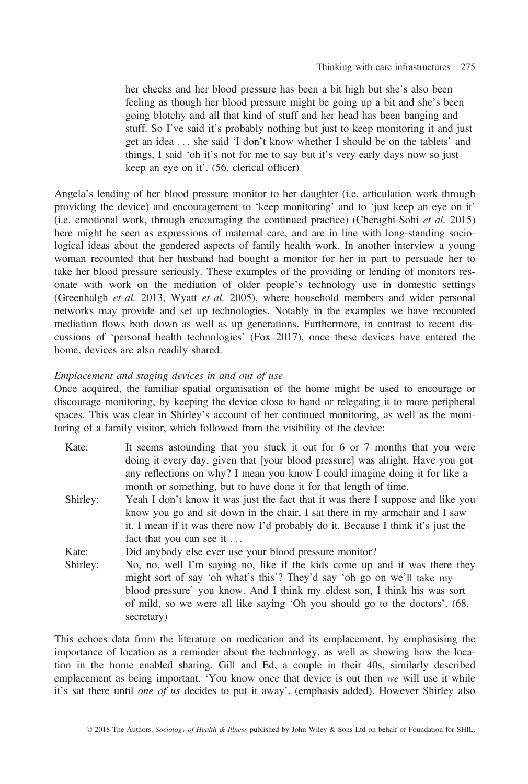her checks and her blood pressure has been a bit high but she's also been feeling as though her blood pressure might be going up a bit and she's been going blotchy and all that kind of stuff and her head has been banging and stuff. So I've said it's probably nothing but just to keep monitoring it and just get an idea ... she said 'I don't know whether I should be on the tablets' and things, I said 'oh it's not for me to say but it's very early days now so just keep an eye on it'. (56, clerical officer)

Angela's lending of her blood pressure monitor to her daughter (i.e. articulation work through providing the device) and encouragement to 'keep monitoring' and to 'just keep an eye on it' (i.e. emotional work, through encouraging the continued practice) (Cheraghi-Sohi et al. 2015) here might be seen as expressions of maternal care, and are in line with long-standing sociological ideas about the gendered aspects of family health work. In another interview a young woman recounted that her husband had bought a monitor for her in part to persuade her to take her blood pressure seriously. These examples of the providing or lending of monitors resonate with work on the mediation of older people's technology use in domestic settings (Greenhalgh et al. 2013, Wyatt et al. 2005), where household members and wider personal networks may provide and set up technologies. Notably in the examples we have recounted mediation flows both down as well as up generations. Furthermore, in contrast to recent discussions of 'personal health technologies' (Fox 2017), once these devices have entered the home, devices are also readily shared.

#### Emplacement and staging devices in and out of use

Once acquired, the familiar spatial organisation of the home might be used to encourage or discourage monitoring, by keeping the device close to hand or relegating it to more peripheral spaces. This was clear in Shirley's account of her continued monitoring, as well as the monitoring of a family visitor, which followed from the visibility of the device:

- Kate: It seems astounding that you stuck it out for 6 or 7 months that you were doing it every day, given that [your blood pressure] was alright. Have you got any reflections on why? I mean you know I could imagine doing it for like a month or something, but to have done it for that length of time.
- Shirley: Yeah I don't know it was just the fact that it was there I suppose and like you know you go and sit down in the chair, I sat there in my armchair and I saw it. I mean if it was there now I'd probably do it. Because I think it's just the fact that you can see it ...

Kate: Did anybody else ever use your blood pressure monitor?

Shirley: No, no, well I'm saying no, like if the kids come up and it was there they might sort of say 'oh what's this'? They'd say 'oh go on we'll take my blood pressure' you know. And I think my eldest son, I think his was sort of mild, so we were all like saying 'Oh you should go to the doctors'. (68, secretary)

This echoes data from the literature on medication and its emplacement, by emphasising the importance of location as a reminder about the technology, as well as showing how the location in the home enabled sharing. Gill and Ed, a couple in their 40s, similarly described emplacement as being important. 'You know once that device is out then we will use it while it's sat there until one of us decides to put it away', (emphasis added). However Shirley also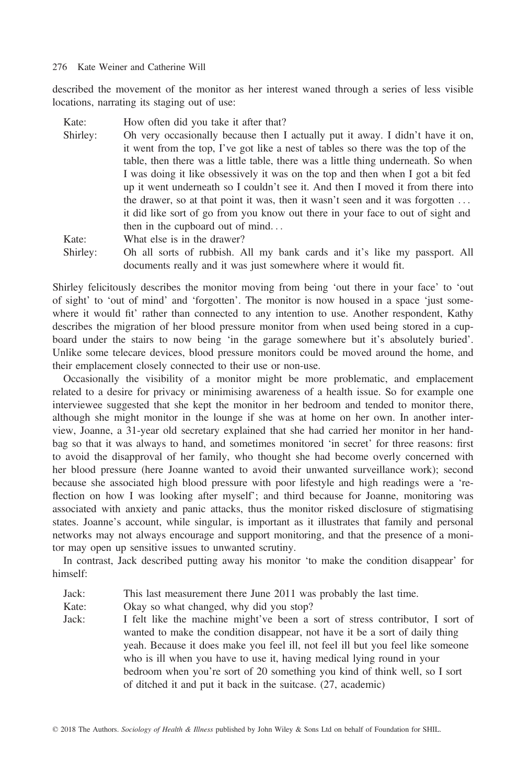described the movement of the monitor as her interest waned through a series of less visible locations, narrating its staging out of use:

| Kate:    | How often did you take it after that?                                              |
|----------|------------------------------------------------------------------------------------|
| Shirley: | Oh very occasionally because then I actually put it away. I didn't have it on,     |
|          | it went from the top, I've got like a nest of tables so there was the top of the   |
|          | table, then there was a little table, there was a little thing underneath. So when |
|          | I was doing it like obsessively it was on the top and then when I got a bit fed    |
|          | up it went underneath so I couldn't see it. And then I moved it from there into    |
|          | the drawer, so at that point it was, then it wasn't seen and it was forgotten      |
|          | it did like sort of go from you know out there in your face to out of sight and    |
|          | then in the cupboard out of mind                                                   |
| Kate:    | What else is in the drawer?                                                        |
| Shirley: | Oh all sorts of rubbish. All my bank cards and it's like my passport. All          |

Shirley felicitously describes the monitor moving from being 'out there in your face' to 'out of sight' to 'out of mind' and 'forgotten'. The monitor is now housed in a space 'just somewhere it would fit' rather than connected to any intention to use. Another respondent, Kathy describes the migration of her blood pressure monitor from when used being stored in a cupboard under the stairs to now being 'in the garage somewhere but it's absolutely buried'. Unlike some telecare devices, blood pressure monitors could be moved around the home, and their emplacement closely connected to their use or non-use.

documents really and it was just somewhere where it would fit.

Occasionally the visibility of a monitor might be more problematic, and emplacement related to a desire for privacy or minimising awareness of a health issue. So for example one interviewee suggested that she kept the monitor in her bedroom and tended to monitor there, although she might monitor in the lounge if she was at home on her own. In another interview, Joanne, a 31-year old secretary explained that she had carried her monitor in her handbag so that it was always to hand, and sometimes monitored 'in secret' for three reasons: first to avoid the disapproval of her family, who thought she had become overly concerned with her blood pressure (here Joanne wanted to avoid their unwanted surveillance work); second because she associated high blood pressure with poor lifestyle and high readings were a 'reflection on how I was looking after myself'; and third because for Joanne, monitoring was associated with anxiety and panic attacks, thus the monitor risked disclosure of stigmatising states. Joanne's account, while singular, is important as it illustrates that family and personal networks may not always encourage and support monitoring, and that the presence of a monitor may open up sensitive issues to unwanted scrutiny.

In contrast, Jack described putting away his monitor 'to make the condition disappear' for himself:

- Jack: This last measurement there June 2011 was probably the last time.
- Kate: Okay so what changed, why did you stop?
- Jack: I felt like the machine might've been a sort of stress contributor, I sort of wanted to make the condition disappear, not have it be a sort of daily thing yeah. Because it does make you feel ill, not feel ill but you feel like someone who is ill when you have to use it, having medical lying round in your bedroom when you're sort of 20 something you kind of think well, so I sort of ditched it and put it back in the suitcase. (27, academic)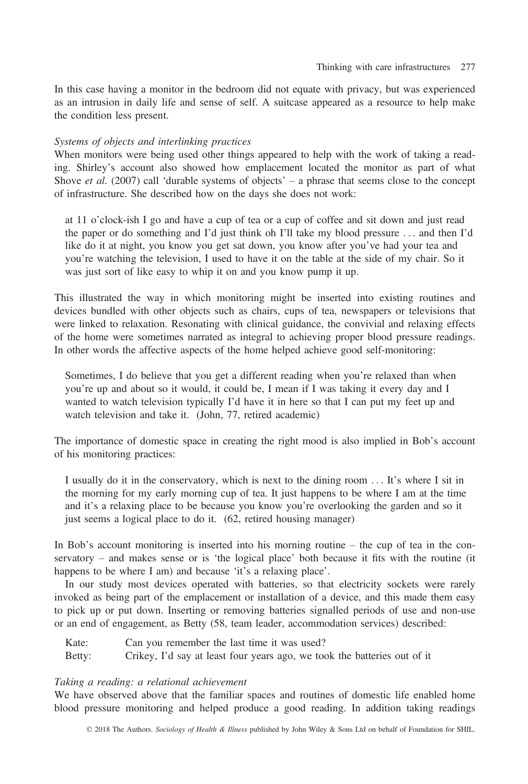In this case having a monitor in the bedroom did not equate with privacy, but was experienced as an intrusion in daily life and sense of self. A suitcase appeared as a resource to help make the condition less present.

#### Systems of objects and interlinking practices

When monitors were being used other things appeared to help with the work of taking a reading. Shirley's account also showed how emplacement located the monitor as part of what Shove *et al.* (2007) call 'durable systems of objects' – a phrase that seems close to the concept of infrastructure. She described how on the days she does not work:

at 11 o'clock-ish I go and have a cup of tea or a cup of coffee and sit down and just read the paper or do something and I'd just think oh I'll take my blood pressure ... and then I'd like do it at night, you know you get sat down, you know after you've had your tea and you're watching the television, I used to have it on the table at the side of my chair. So it was just sort of like easy to whip it on and you know pump it up.

This illustrated the way in which monitoring might be inserted into existing routines and devices bundled with other objects such as chairs, cups of tea, newspapers or televisions that were linked to relaxation. Resonating with clinical guidance, the convivial and relaxing effects of the home were sometimes narrated as integral to achieving proper blood pressure readings. In other words the affective aspects of the home helped achieve good self-monitoring:

Sometimes, I do believe that you get a different reading when you're relaxed than when you're up and about so it would, it could be, I mean if I was taking it every day and I wanted to watch television typically I'd have it in here so that I can put my feet up and watch television and take it. (John, 77, retired academic)

The importance of domestic space in creating the right mood is also implied in Bob's account of his monitoring practices:

I usually do it in the conservatory, which is next to the dining room ... It's where I sit in the morning for my early morning cup of tea. It just happens to be where I am at the time and it's a relaxing place to be because you know you're overlooking the garden and so it just seems a logical place to do it. (62, retired housing manager)

In Bob's account monitoring is inserted into his morning routine – the cup of tea in the conservatory – and makes sense or is 'the logical place' both because it fits with the routine (it happens to be where I am) and because 'it's a relaxing place'.

In our study most devices operated with batteries, so that electricity sockets were rarely invoked as being part of the emplacement or installation of a device, and this made them easy to pick up or put down. Inserting or removing batteries signalled periods of use and non-use or an end of engagement, as Betty (58, team leader, accommodation services) described:

Kate: Can you remember the last time it was used? Betty: Crikey, I'd say at least four years ago, we took the batteries out of it

#### Taking a reading: a relational achievement

We have observed above that the familiar spaces and routines of domestic life enabled home blood pressure monitoring and helped produce a good reading. In addition taking readings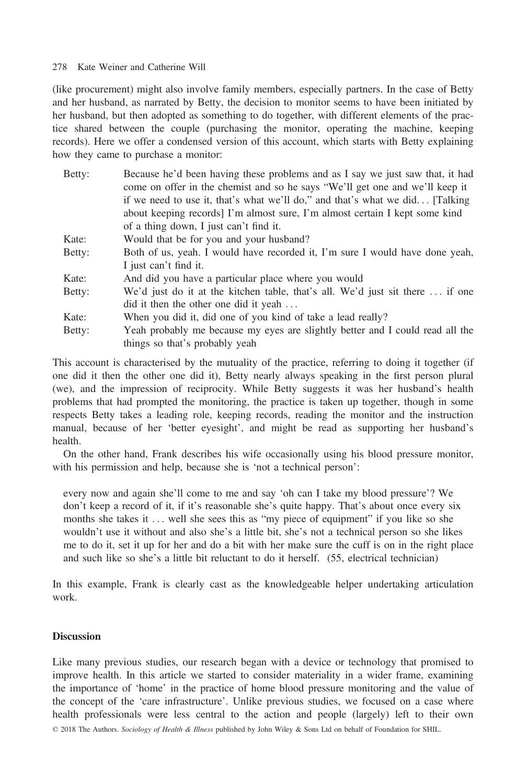(like procurement) might also involve family members, especially partners. In the case of Betty and her husband, as narrated by Betty, the decision to monitor seems to have been initiated by her husband, but then adopted as something to do together, with different elements of the practice shared between the couple (purchasing the monitor, operating the machine, keeping records). Here we offer a condensed version of this account, which starts with Betty explaining how they came to purchase a monitor:

| Betty: | Because he'd been having these problems and as I say we just saw that, it had |
|--------|-------------------------------------------------------------------------------|
|        | come on offer in the chemist and so he says "We'll get one and we'll keep it  |
|        | if we need to use it, that's what we'll do," and that's what we did [Talking] |
|        | about keeping records] I'm almost sure, I'm almost certain I kept some kind   |
|        | of a thing down, I just can't find it.                                        |
| Kate:  | Would that be for you and your husband?                                       |
| Betty: | Both of us, yeah. I would have recorded it, I'm sure I would have done yeah,  |
|        | I just can't find it.                                                         |
| Kate:  | And did you have a particular place where you would                           |
| Betty: | We'd just do it at the kitchen table, that's all. We'd just sit there  if one |
|        | did it then the other one did it yeah $\dots$                                 |
| Kate:  | When you did it, did one of you kind of take a lead really?                   |
| Betty: | Yeah probably me because my eyes are slightly better and I could read all the |
|        | things so that's probably yeah                                                |

This account is characterised by the mutuality of the practice, referring to doing it together (if one did it then the other one did it), Betty nearly always speaking in the first person plural (we), and the impression of reciprocity. While Betty suggests it was her husband's health problems that had prompted the monitoring, the practice is taken up together, though in some respects Betty takes a leading role, keeping records, reading the monitor and the instruction manual, because of her 'better eyesight', and might be read as supporting her husband's health.

On the other hand, Frank describes his wife occasionally using his blood pressure monitor, with his permission and help, because she is 'not a technical person':

every now and again she'll come to me and say 'oh can I take my blood pressure'? We don't keep a record of it, if it's reasonable she's quite happy. That's about once every six months she takes it ... well she sees this as "my piece of equipment" if you like so she wouldn't use it without and also she's a little bit, she's not a technical person so she likes me to do it, set it up for her and do a bit with her make sure the cuff is on in the right place and such like so she's a little bit reluctant to do it herself. (55, electrical technician)

In this example, Frank is clearly cast as the knowledgeable helper undertaking articulation work.

#### **Discussion**

Like many previous studies, our research began with a device or technology that promised to improve health. In this article we started to consider materiality in a wider frame, examining the importance of 'home' in the practice of home blood pressure monitoring and the value of the concept of the 'care infrastructure'. Unlike previous studies, we focused on a case where health professionals were less central to the action and people (largely) left to their own © 2018 The Authors. Sociology of Health & Illness published by John Wiley & Sons Ltd on behalf of Foundation for SHIL.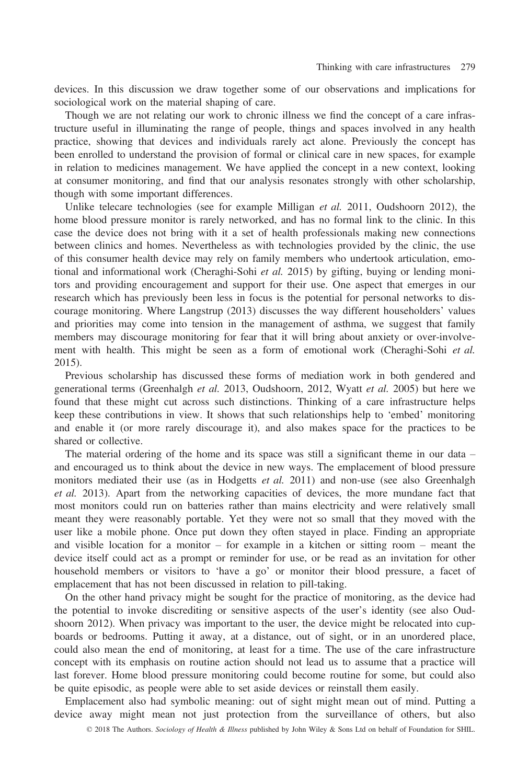devices. In this discussion we draw together some of our observations and implications for sociological work on the material shaping of care.

Though we are not relating our work to chronic illness we find the concept of a care infrastructure useful in illuminating the range of people, things and spaces involved in any health practice, showing that devices and individuals rarely act alone. Previously the concept has been enrolled to understand the provision of formal or clinical care in new spaces, for example in relation to medicines management. We have applied the concept in a new context, looking at consumer monitoring, and find that our analysis resonates strongly with other scholarship, though with some important differences.

Unlike telecare technologies (see for example Milligan *et al.* 2011, Oudshoorn 2012), the home blood pressure monitor is rarely networked, and has no formal link to the clinic. In this case the device does not bring with it a set of health professionals making new connections between clinics and homes. Nevertheless as with technologies provided by the clinic, the use of this consumer health device may rely on family members who undertook articulation, emotional and informational work (Cheraghi-Sohi *et al.* 2015) by gifting, buying or lending monitors and providing encouragement and support for their use. One aspect that emerges in our research which has previously been less in focus is the potential for personal networks to discourage monitoring. Where Langstrup (2013) discusses the way different householders' values and priorities may come into tension in the management of asthma, we suggest that family members may discourage monitoring for fear that it will bring about anxiety or over-involvement with health. This might be seen as a form of emotional work (Cheraghi-Sohi et al. 2015).

Previous scholarship has discussed these forms of mediation work in both gendered and generational terms (Greenhalgh et al. 2013, Oudshoorn, 2012, Wyatt et al. 2005) but here we found that these might cut across such distinctions. Thinking of a care infrastructure helps keep these contributions in view. It shows that such relationships help to 'embed' monitoring and enable it (or more rarely discourage it), and also makes space for the practices to be shared or collective.

The material ordering of the home and its space was still a significant theme in our data – and encouraged us to think about the device in new ways. The emplacement of blood pressure monitors mediated their use (as in Hodgetts  $et$  al. 2011) and non-use (see also Greenhalgh et al. 2013). Apart from the networking capacities of devices, the more mundane fact that most monitors could run on batteries rather than mains electricity and were relatively small meant they were reasonably portable. Yet they were not so small that they moved with the user like a mobile phone. Once put down they often stayed in place. Finding an appropriate and visible location for a monitor – for example in a kitchen or sitting room – meant the device itself could act as a prompt or reminder for use, or be read as an invitation for other household members or visitors to 'have a go' or monitor their blood pressure, a facet of emplacement that has not been discussed in relation to pill-taking.

On the other hand privacy might be sought for the practice of monitoring, as the device had the potential to invoke discrediting or sensitive aspects of the user's identity (see also Oudshoorn 2012). When privacy was important to the user, the device might be relocated into cupboards or bedrooms. Putting it away, at a distance, out of sight, or in an unordered place, could also mean the end of monitoring, at least for a time. The use of the care infrastructure concept with its emphasis on routine action should not lead us to assume that a practice will last forever. Home blood pressure monitoring could become routine for some, but could also be quite episodic, as people were able to set aside devices or reinstall them easily.

Emplacement also had symbolic meaning: out of sight might mean out of mind. Putting a device away might mean not just protection from the surveillance of others, but also

© 2018 The Authors. Sociology of Health & Illness published by John Wiley & Sons Ltd on behalf of Foundation for SHIL.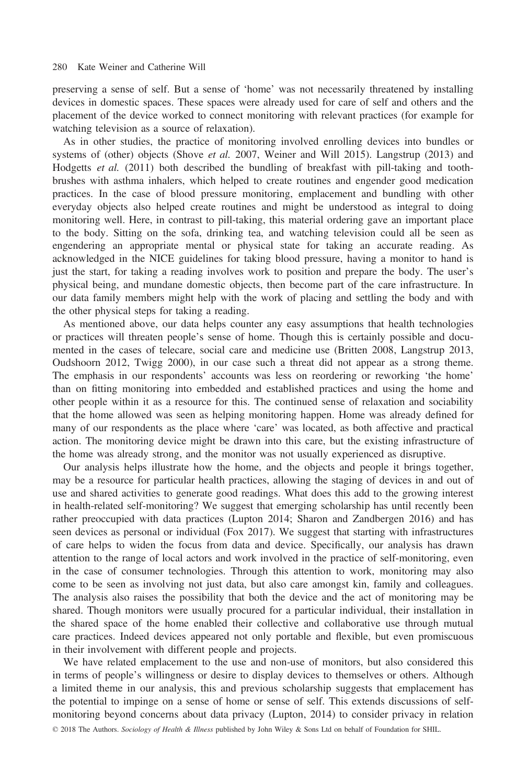preserving a sense of self. But a sense of 'home' was not necessarily threatened by installing devices in domestic spaces. These spaces were already used for care of self and others and the placement of the device worked to connect monitoring with relevant practices (for example for watching television as a source of relaxation).

As in other studies, the practice of monitoring involved enrolling devices into bundles or systems of (other) objects (Shove et al. 2007, Weiner and Will 2015). Langstrup (2013) and Hodgetts et al. (2011) both described the bundling of breakfast with pill-taking and toothbrushes with asthma inhalers, which helped to create routines and engender good medication practices. In the case of blood pressure monitoring, emplacement and bundling with other everyday objects also helped create routines and might be understood as integral to doing monitoring well. Here, in contrast to pill-taking, this material ordering gave an important place to the body. Sitting on the sofa, drinking tea, and watching television could all be seen as engendering an appropriate mental or physical state for taking an accurate reading. As acknowledged in the NICE guidelines for taking blood pressure, having a monitor to hand is just the start, for taking a reading involves work to position and prepare the body. The user's physical being, and mundane domestic objects, then become part of the care infrastructure. In our data family members might help with the work of placing and settling the body and with the other physical steps for taking a reading.

As mentioned above, our data helps counter any easy assumptions that health technologies or practices will threaten people's sense of home. Though this is certainly possible and documented in the cases of telecare, social care and medicine use (Britten 2008, Langstrup 2013, Oudshoorn 2012, Twigg 2000), in our case such a threat did not appear as a strong theme. The emphasis in our respondents' accounts was less on reordering or reworking 'the home' than on fitting monitoring into embedded and established practices and using the home and other people within it as a resource for this. The continued sense of relaxation and sociability that the home allowed was seen as helping monitoring happen. Home was already defined for many of our respondents as the place where 'care' was located, as both affective and practical action. The monitoring device might be drawn into this care, but the existing infrastructure of the home was already strong, and the monitor was not usually experienced as disruptive.

Our analysis helps illustrate how the home, and the objects and people it brings together, may be a resource for particular health practices, allowing the staging of devices in and out of use and shared activities to generate good readings. What does this add to the growing interest in health-related self-monitoring? We suggest that emerging scholarship has until recently been rather preoccupied with data practices (Lupton 2014; Sharon and Zandbergen 2016) and has seen devices as personal or individual (Fox 2017). We suggest that starting with infrastructures of care helps to widen the focus from data and device. Specifically, our analysis has drawn attention to the range of local actors and work involved in the practice of self-monitoring, even in the case of consumer technologies. Through this attention to work, monitoring may also come to be seen as involving not just data, but also care amongst kin, family and colleagues. The analysis also raises the possibility that both the device and the act of monitoring may be shared. Though monitors were usually procured for a particular individual, their installation in the shared space of the home enabled their collective and collaborative use through mutual care practices. Indeed devices appeared not only portable and flexible, but even promiscuous in their involvement with different people and projects.

We have related emplacement to the use and non-use of monitors, but also considered this in terms of people's willingness or desire to display devices to themselves or others. Although a limited theme in our analysis, this and previous scholarship suggests that emplacement has the potential to impinge on a sense of home or sense of self. This extends discussions of selfmonitoring beyond concerns about data privacy (Lupton, 2014) to consider privacy in relation

© 2018 The Authors. Sociology of Health & Illness published by John Wiley & Sons Ltd on behalf of Foundation for SHIL.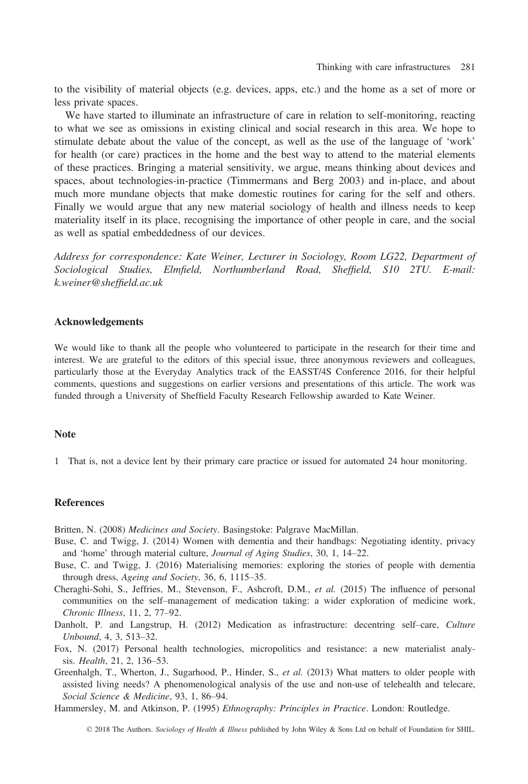to the visibility of material objects (e.g. devices, apps, etc.) and the home as a set of more or less private spaces.

We have started to illuminate an infrastructure of care in relation to self-monitoring, reacting to what we see as omissions in existing clinical and social research in this area. We hope to stimulate debate about the value of the concept, as well as the use of the language of 'work' for health (or care) practices in the home and the best way to attend to the material elements of these practices. Bringing a material sensitivity, we argue, means thinking about devices and spaces, about technologies-in-practice (Timmermans and Berg 2003) and in-place, and about much more mundane objects that make domestic routines for caring for the self and others. Finally we would argue that any new material sociology of health and illness needs to keep materiality itself in its place, recognising the importance of other people in care, and the social as well as spatial embeddedness of our devices.

Address for correspondence: Kate Weiner, Lecturer in Sociology, Room LG22, Department of Sociological Studies, Elmfield, Northumberland Road, Sheffield, S10 2TU. E-mail: k.weiner@sheffield.ac.uk

#### Acknowledgements

We would like to thank all the people who volunteered to participate in the research for their time and interest. We are grateful to the editors of this special issue, three anonymous reviewers and colleagues, particularly those at the Everyday Analytics track of the EASST/4S Conference 2016, for their helpful comments, questions and suggestions on earlier versions and presentations of this article. The work was funded through a University of Sheffield Faculty Research Fellowship awarded to Kate Weiner.

#### **Note**

1 That is, not a device lent by their primary care practice or issued for automated 24 hour monitoring.

#### References

Britten, N. (2008) *Medicines and Society*. Basingstoke: Palgrave MacMillan.

- Buse, C. and Twigg, J. (2014) Women with dementia and their handbags: Negotiating identity, privacy and 'home' through material culture, Journal of Aging Studies, 30, 1, 14–22.
- Buse, C. and Twigg, J. (2016) Materialising memories: exploring the stories of people with dementia through dress, Ageing and Society, 36, 6, 1115–35.
- Cheraghi-Sohi, S., Jeffries, M., Stevenson, F., Ashcroft, D.M., et al. (2015) The influence of personal communities on the self–management of medication taking: a wider exploration of medicine work, Chronic Illness, 11, 2, 77–92.
- Danholt, P. and Langstrup, H. (2012) Medication as infrastructure: decentring self–care, Culture Unbound, 4, 3, 513–32.
- Fox, N. (2017) Personal health technologies, micropolitics and resistance: a new materialist analysis. Health, 21, 2, 136–53.
- Greenhalgh, T., Wherton, J., Sugarhood, P., Hinder, S., et al. (2013) What matters to older people with assisted living needs? A phenomenological analysis of the use and non-use of telehealth and telecare, Social Science & Medicine, 93, 1, 86–94.

Hammersley, M. and Atkinson, P. (1995) Ethnography: Principles in Practice. London: Routledge.